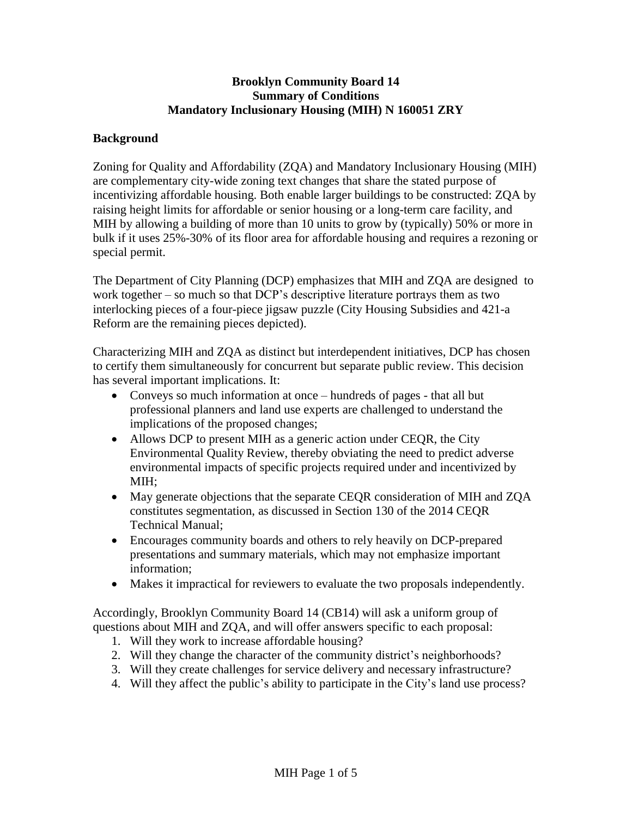### **Brooklyn Community Board 14 Summary of Conditions Mandatory Inclusionary Housing (MIH) N 160051 ZRY**

#### **Background**

Zoning for Quality and Affordability (ZQA) and Mandatory Inclusionary Housing (MIH) are complementary city-wide zoning text changes that share the stated purpose of incentivizing affordable housing. Both enable larger buildings to be constructed: ZQA by raising height limits for affordable or senior housing or a long-term care facility, and MIH by allowing a building of more than 10 units to grow by (typically) 50% or more in bulk if it uses 25%-30% of its floor area for affordable housing and requires a rezoning or special permit.

The Department of City Planning (DCP) emphasizes that MIH and ZQA are designed to work together – so much so that DCP's descriptive literature portrays them as two interlocking pieces of a four-piece jigsaw puzzle (City Housing Subsidies and 421-a Reform are the remaining pieces depicted).

Characterizing MIH and ZQA as distinct but interdependent initiatives, DCP has chosen to certify them simultaneously for concurrent but separate public review. This decision has several important implications. It:

- Conveys so much information at once hundreds of pages that all but professional planners and land use experts are challenged to understand the implications of the proposed changes;
- Allows DCP to present MIH as a generic action under CEQR, the City Environmental Quality Review, thereby obviating the need to predict adverse environmental impacts of specific projects required under and incentivized by MIH;
- May generate objections that the separate CEQR consideration of MIH and ZQA constitutes segmentation, as discussed in Section 130 of the 2014 CEQR Technical Manual;
- Encourages community boards and others to rely heavily on DCP-prepared presentations and summary materials, which may not emphasize important information;
- Makes it impractical for reviewers to evaluate the two proposals independently.

Accordingly, Brooklyn Community Board 14 (CB14) will ask a uniform group of questions about MIH and ZQA, and will offer answers specific to each proposal:

- 1. Will they work to increase affordable housing?
- 2. Will they change the character of the community district's neighborhoods?
- 3. Will they create challenges for service delivery and necessary infrastructure?
- 4. Will they affect the public's ability to participate in the City's land use process?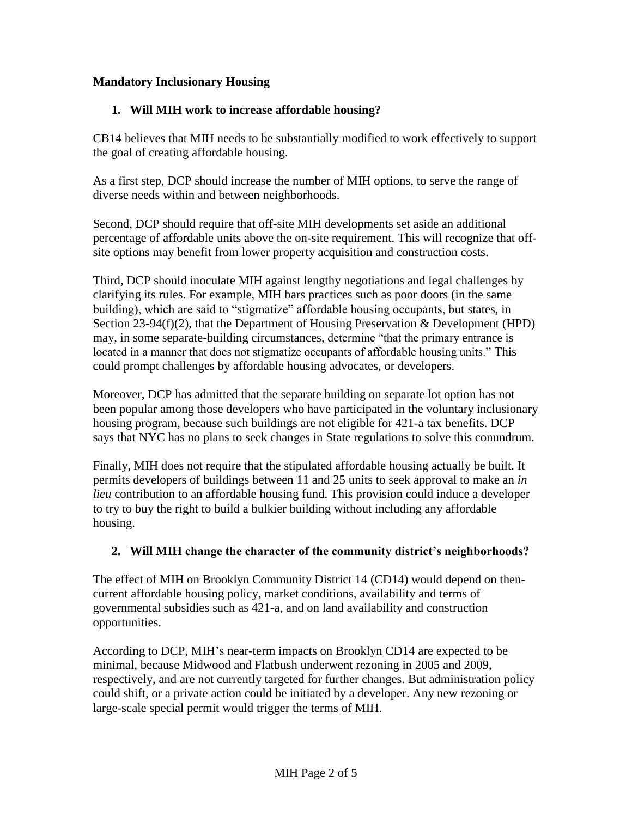# **Mandatory Inclusionary Housing**

# **1. Will MIH work to increase affordable housing?**

CB14 believes that MIH needs to be substantially modified to work effectively to support the goal of creating affordable housing.

As a first step, DCP should increase the number of MIH options, to serve the range of diverse needs within and between neighborhoods.

Second, DCP should require that off-site MIH developments set aside an additional percentage of affordable units above the on-site requirement. This will recognize that offsite options may benefit from lower property acquisition and construction costs.

Third, DCP should inoculate MIH against lengthy negotiations and legal challenges by clarifying its rules. For example, MIH bars practices such as poor doors (in the same building), which are said to "stigmatize" affordable housing occupants, but states, in Section 23-94(f)(2), that the Department of Housing Preservation & Development (HPD) may, in some separate-building circumstances, determine "that the primary entrance is located in a manner that does not stigmatize occupants of affordable housing units." This could prompt challenges by affordable housing advocates, or developers.

Moreover, DCP has admitted that the separate building on separate lot option has not been popular among those developers who have participated in the voluntary inclusionary housing program, because such buildings are not eligible for 421-a tax benefits. DCP says that NYC has no plans to seek changes in State regulations to solve this conundrum.

Finally, MIH does not require that the stipulated affordable housing actually be built. It permits developers of buildings between 11 and 25 units to seek approval to make an *in lieu* contribution to an affordable housing fund. This provision could induce a developer to try to buy the right to build a bulkier building without including any affordable housing.

# **2. Will MIH change the character of the community district's neighborhoods?**

The effect of MIH on Brooklyn Community District 14 (CD14) would depend on thencurrent affordable housing policy, market conditions, availability and terms of governmental subsidies such as 421-a, and on land availability and construction opportunities.

According to DCP, MIH's near-term impacts on Brooklyn CD14 are expected to be minimal, because Midwood and Flatbush underwent rezoning in 2005 and 2009, respectively, and are not currently targeted for further changes. But administration policy could shift, or a private action could be initiated by a developer. Any new rezoning or large-scale special permit would trigger the terms of MIH.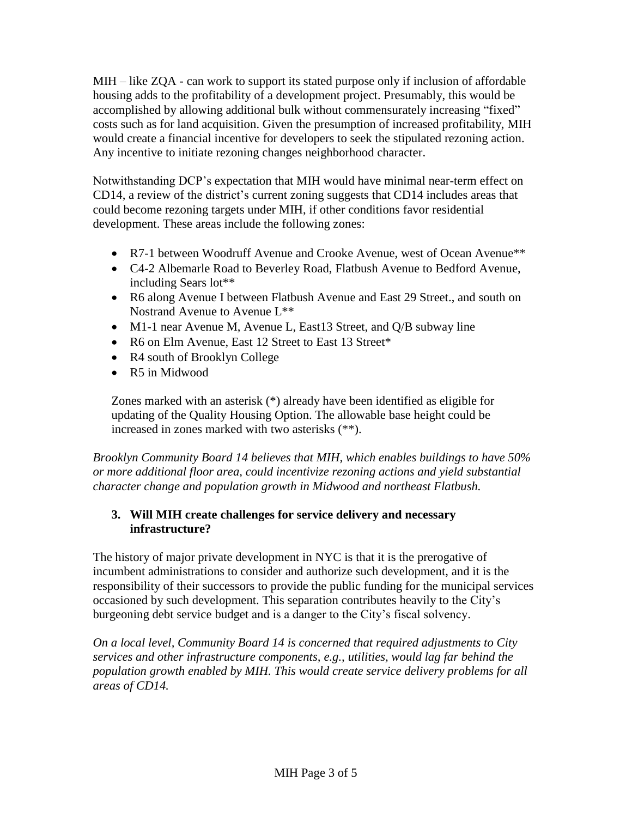MIH – like ZQA - can work to support its stated purpose only if inclusion of affordable housing adds to the profitability of a development project. Presumably, this would be accomplished by allowing additional bulk without commensurately increasing "fixed" costs such as for land acquisition. Given the presumption of increased profitability, MIH would create a financial incentive for developers to seek the stipulated rezoning action. Any incentive to initiate rezoning changes neighborhood character.

Notwithstanding DCP's expectation that MIH would have minimal near-term effect on CD14, a review of the district's current zoning suggests that CD14 includes areas that could become rezoning targets under MIH, if other conditions favor residential development. These areas include the following zones:

- R7-1 between Woodruff Avenue and Crooke Avenue, west of Ocean Avenue\*\*
- C4-2 Albemarle Road to Beverley Road, Flatbush Avenue to Bedford Avenue, including Sears lot\*\*
- R6 along Avenue I between Flatbush Avenue and East 29 Street., and south on Nostrand Avenue to Avenue L\*\*
- M1-1 near Avenue M, Avenue L, East13 Street, and Q/B subway line
- R6 on Elm Avenue, East 12 Street to East 13 Street\*
- R4 south of Brooklyn College
- R5 in Midwood

Zones marked with an asterisk (\*) already have been identified as eligible for updating of the Quality Housing Option. The allowable base height could be increased in zones marked with two asterisks (\*\*).

*Brooklyn Community Board 14 believes that MIH, which enables buildings to have 50% or more additional floor area, could incentivize rezoning actions and yield substantial character change and population growth in Midwood and northeast Flatbush.*

## **3. Will MIH create challenges for service delivery and necessary infrastructure?**

The history of major private development in NYC is that it is the prerogative of incumbent administrations to consider and authorize such development, and it is the responsibility of their successors to provide the public funding for the municipal services occasioned by such development. This separation contributes heavily to the City's burgeoning debt service budget and is a danger to the City's fiscal solvency.

*On a local level, Community Board 14 is concerned that required adjustments to City services and other infrastructure components, e.g., utilities, would lag far behind the population growth enabled by MIH. This would create service delivery problems for all areas of CD14.*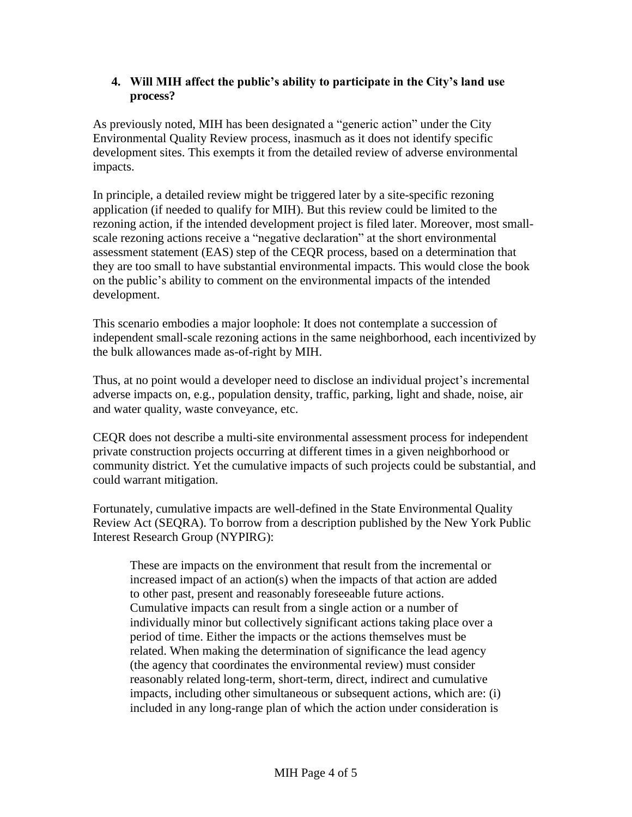## **4. Will MIH affect the public's ability to participate in the City's land use process?**

As previously noted, MIH has been designated a "generic action" under the City Environmental Quality Review process, inasmuch as it does not identify specific development sites. This exempts it from the detailed review of adverse environmental impacts.

In principle, a detailed review might be triggered later by a site-specific rezoning application (if needed to qualify for MIH). But this review could be limited to the rezoning action, if the intended development project is filed later. Moreover, most smallscale rezoning actions receive a "negative declaration" at the short environmental assessment statement (EAS) step of the CEQR process, based on a determination that they are too small to have substantial environmental impacts. This would close the book on the public's ability to comment on the environmental impacts of the intended development.

This scenario embodies a major loophole: It does not contemplate a succession of independent small-scale rezoning actions in the same neighborhood, each incentivized by the bulk allowances made as-of-right by MIH.

Thus, at no point would a developer need to disclose an individual project's incremental adverse impacts on, e.g., population density, traffic, parking, light and shade, noise, air and water quality, waste conveyance, etc.

CEQR does not describe a multi-site environmental assessment process for independent private construction projects occurring at different times in a given neighborhood or community district. Yet the cumulative impacts of such projects could be substantial, and could warrant mitigation.

Fortunately, cumulative impacts are well-defined in the State Environmental Quality Review Act (SEQRA). To borrow from a description published by the New York Public Interest Research Group (NYPIRG):

These are impacts on the environment that result from the incremental or increased impact of an action(s) when the impacts of that action are added to other past, present and reasonably foreseeable future actions. Cumulative impacts can result from a single action or a number of individually minor but collectively significant actions taking place over a period of time. Either the impacts or the actions themselves must be related. When making the determination of significance the lead agency (the agency that coordinates the environmental review) must consider reasonably related long-term, short-term, direct, indirect and cumulative impacts, including other simultaneous or subsequent actions, which are: (i) included in any long-range plan of which the action under consideration is